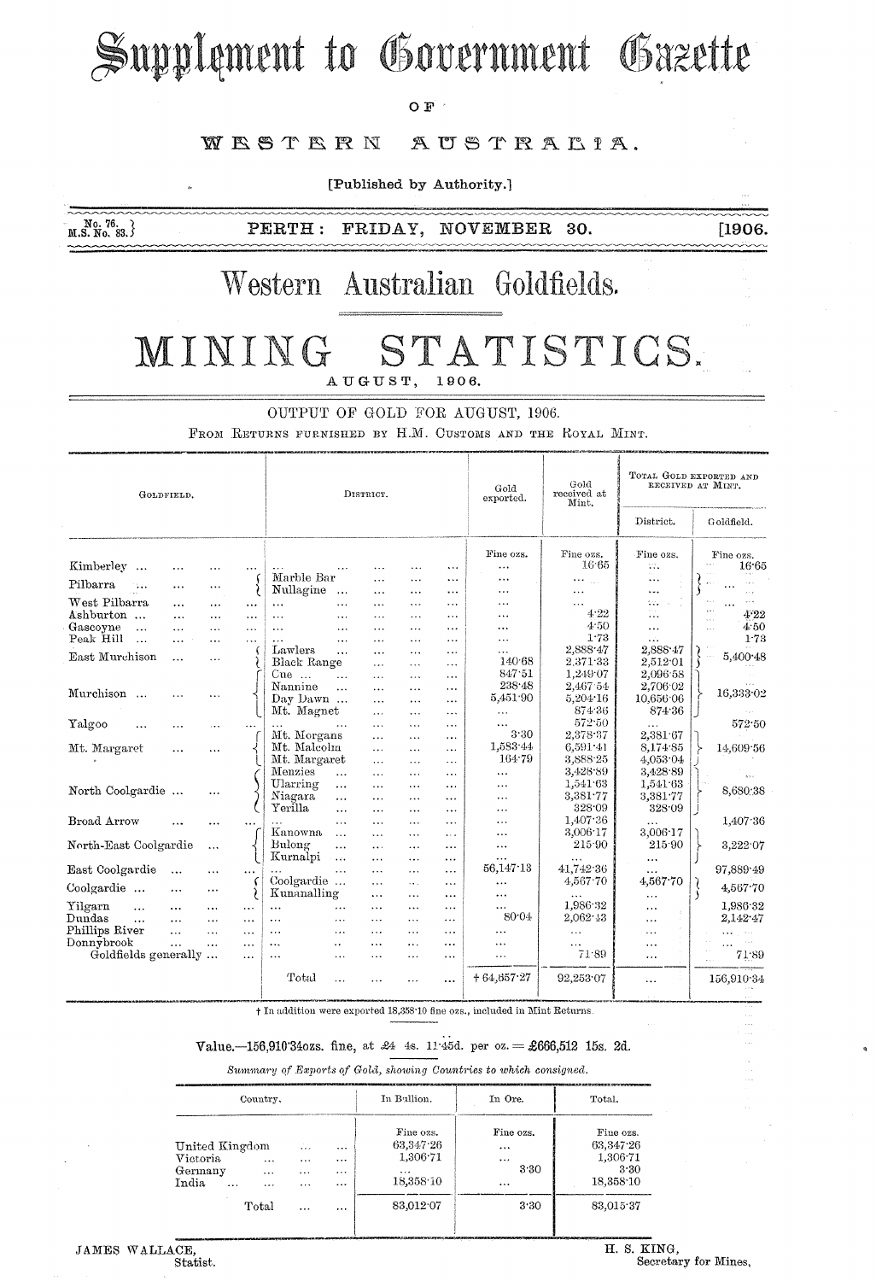# Supplement to Government Gazette

OF  $^{\circ}$ 

#### WESTERN AUSTRALIA.

[Published by Authority.]

 $M.S. N0. 83.$ PERTH: FRIDAY, NOVEMBER 30.

#### $[1906]$

### Western Australian Goldfields.

#### MINING STATISTICS. AUGUST, 1906.

OUTPUT OF GOLD FOR AUGUST, 1906.

FROM RETURNS FURNISHED BY H.M. CUSTOMS AND THE ROYAL MINT.

| GOLDFIELD.                            |           |           |           | DISTRICT.                           |                          |                       |                       | Gold<br>exported. | Gold<br>received at<br>Mint.                 | TOTAL GOLD EXPORTED AND<br>RECEIVED AT MINT. |                                          |
|---------------------------------------|-----------|-----------|-----------|-------------------------------------|--------------------------|-----------------------|-----------------------|-------------------|----------------------------------------------|----------------------------------------------|------------------------------------------|
|                                       |           |           | District. |                                     |                          |                       |                       |                   |                                              | Goldfield.                                   |                                          |
|                                       |           |           |           |                                     |                          |                       |                       | Fine ozs.         | Fine ozs.                                    | Fine ozs.                                    | Fine ozs.                                |
| Kimberley<br>$\cdots$                 | $\cdots$  |           |           | $\cdots$                            | .                        | .                     | $\ddotsc$             | $\cdots$          | 16.65                                        | W.                                           | 16.65                                    |
| Pilbarra<br>$\mathbf{L}_{\mathbf{A}}$ | $\cdots$  | $\cdots$  | f         | Marble Bar<br>Nullagine<br>$\ldots$ | $\cdots$<br>$\cdots$     | $\ddotsc$<br>$\cdots$ | $\ddotsc$<br>$\cdots$ | <br>$\cdots$      | $\cdots$<br>$\mathcal{L}_{\mathcal{A}}$<br>. | $\cdots$<br>المتعاد                          | $\sim$                                   |
| West Pilbarra                         | $\cdots$  | $\cdots$  | $\cdots$  | $\ddotsc$<br>$\ddotsc$              | $\overline{\phantom{a}}$ | $\ddotsc$             | $\cdots$              |                   | .                                            | to.                                          | دده<br>$\alpha \neq \alpha$<br>$\ddotsc$ |
| Ashburton                             | $\cdots$  | $\cdots$  | .         | $\ddotsc$<br>$\ddotsc$              | $\ddotsc$                | $\cdots$              | $\cdots$              |                   | 4.22                                         | $\epsilon \ll 1$<br>$\cdots$                 | $\mathbf{y}$<br>4.22                     |
| Gascoyne<br>$\cdots$                  | $\cdots$  | $\cdots$  | $\cdots$  | $\cdots$<br>$\cdots$                | .                        | $\ddotsc$             | $\cdots$              |                   | 4.50                                         |                                              | 4.50<br>$\ddot{\phantom{a}}$             |
| Peak Hill<br>$\ddotsc$                | $\cdots$  | $\cdots$  | $\cdots$  | $\ddotsc$<br>$\ddotsc$              | .                        | $\cdots$              | $\ddotsc$             | $\cdots$          | 1.73                                         | $\mathbf{r}$                                 | 1.73                                     |
|                                       |           |           |           | Lawlers<br>$\ddotsc$                | $\cdots$                 | $\cdots$              | $\cdots$              | $\cdots$          | 2,888.47                                     | 2,888.47                                     |                                          |
| East Murchison                        | $\cdots$  | $\cdots$  |           | Black Range                         | $\cdots$                 | $\cdots$              | $\cdots$              | 140.68            | 2.371.33                                     | 2,512.01                                     | 5,400 48                                 |
|                                       |           |           |           | Cue<br>$\ddotsc$                    | $\ddotsc$                | $\cdots$              | $\cdots$              | 847.51            | 1.249.07                                     | 2.096.58                                     |                                          |
| Murchison                             |           |           |           | Nannine<br>$\ddotsc$                | .                        | .                     | .                     | 238.48            | 2,467.54                                     | 2,706.02                                     | 16,333-02                                |
| $\cdots$                              |           | .         |           | Day Dawn                            | $\ddotsc$                | $\cdots$              | .                     | 5,451.90          | 5,204.16                                     | 10,656.06                                    |                                          |
|                                       |           |           |           | Mt. Magnet                          | $\cdots$                 | $\cdots$              | $\ddotsc$             | $\ddotsc$         | 874.36                                       | 874.36                                       |                                          |
| Yalgoo                                | .         | $\cdots$  |           | $\ddots$                            | $\cdots$                 | $\cdots$              | $\cdots$              | $\cdots$          | 572.50                                       |                                              | 572.50                                   |
|                                       |           |           |           | Mt. Morgans                         | $\cdots$                 | $\ddotsc$             | .                     | 3.30              | 2,378.37                                     | 2,381.67                                     |                                          |
| Mt. Margaret                          |           | $\ddotsc$ |           | Mt. Malcolm                         | $\cdots$                 | $\cdots$              | $\cdots$              | 1,583.44          | 6,591.41                                     | 8,174.85                                     | 14,609.56                                |
|                                       |           |           |           | Mt. Margaret                        | $\cdots$                 | $\cdots$              | $\ddotsc$             | 164.79            | 3,888.25                                     | 4.053.04                                     |                                          |
|                                       |           |           |           | Menzies<br>$\ddotsc$                | $\cdots$                 | $\cdots$              | $\cdots$              | $\cdots$          | 3,428.89                                     | 3,428.89                                     | $\mathbf{v}$ is a                        |
| North Coolgardie                      |           |           |           | Ularring<br>$\cdots$                | $\cdots$                 | $\overline{a}$        | $\cdots$              | $\cdots$          | 1,541.63                                     | 1,541.63                                     | 8,680.38                                 |
|                                       |           | $\cdots$  |           | Niagara<br>$\cdots$                 | $\cdots$                 | $\cdots$              | $\cdots$              | $\cdots$          | 3,381.77                                     | 3,381.77                                     |                                          |
|                                       |           |           |           | Yerilla<br>                         | .                        | $\cdots$              | .                     | .                 | 328.09                                       | 328.09                                       |                                          |
| Broad Arrow                           |           | .         |           | $\cdots$                            | $\cdots$                 | $\cdots$              | .                     | $\cdots$          | 1,407.36                                     |                                              | 1,407.36                                 |
|                                       |           |           |           | Kanowna<br>$\ddotsc$                | $\cdots$                 | $\overline{a}$        | $\sim$ $\sim$         | $\cdots$          | 3,006.17                                     | 3,006.17                                     |                                          |
| North-East Coolgardie                 |           | $\cdots$  |           | Bulong<br>$\cdots$                  | $\cdots$                 | $\ddotsc$             | $\cdots$              | $\ldots$          | 215.90                                       | 215.90                                       | 3,222.07                                 |
|                                       |           |           |           | Kurnalpi<br>$\ddotsc$               | $\cdots$                 | $\overline{a}$        | $\ddotsc$             | $\cdots$          | .                                            | $\cdots$                                     |                                          |
| East Coolgardie                       | $\ddotsc$ | $\cdots$  | $\cdots$  | $\cdots$<br>$\cdots$                | $\cdots$                 |                       | $\cdots$              | 56,147.13         | 41.742.36                                    | $\cdots$                                     | 97,889.49                                |
| Coolgardie                            |           |           |           | Coolgardie                          | .                        | .                     | $\cdots$              | $\ldots$          | 4,567.70                                     | 4,567.70                                     | 4,567.70                                 |
|                                       | $\cdots$  | $\cdots$  |           | Kunanalling                         | $\cdots$                 | .                     | $\ddotsc$             | $\cdots$          | $\cdots$                                     | $\cdots$                                     |                                          |
| Yilgarn<br>$\cdots$                   | $\ddotsc$ | $\cdots$  | $\ddotsc$ | $\cdots$<br>$\cdots$                | .                        | $\cdots$              |                       | $\cdots$          | 1,986.32                                     | $\cdots$                                     | 1,986.32                                 |
| Dundas<br>$\cdots$                    | $\cdots$  | $\ddotsc$ | $\cdots$  | $\cdots$<br>$\cdots$                | $\cdots$                 | $\cdots$              | .                     | 80.04             | 2,062.43                                     | .                                            | 2,142.47                                 |
| Phillips River                        | $\cdots$  | $\ddotsc$ | $\cdots$  | $\cdots$<br>$\cdots$                | $\cdots$                 | $\cdots$              | $\ddotsc$             | .                 | $\cdots$                                     | .                                            | $\cdots$<br>$\alpha$ , $\alpha$          |
| Donnybrook                            | $\ddotsc$ | $\cdots$  | $\ldots$  | $\cdots$<br>$\ddot{\phantom{0}}$    | .                        | $\cdots$              | $\ddotsc$             | $\cdots$          | $\sim$ $\sim$                                |                                              | $\cdots$                                 |
| Goldfields generally                  |           |           | $\cdots$  | $\cdots$<br>.                       | $\cdot$ .                | $\cdots$              | $\cdots$              | .                 | 71.89                                        | $\cdots$                                     | 71.89                                    |
|                                       |           |           |           | Total                               | .                        | $\cdots$              |                       | $+64,657.27$      | 92,253.07                                    |                                              | 156,910.34                               |

the addition were exported 18,358.10 fine ozs., included in Mint Returns.

#### Value. -156,910'340zs. fine, at £4 4s. 11:45d. per oz. = £666,512 15s. 2d.

Summary of Exports of Gold, showing Countries to which consigned.

|                                                            | Country,                          |                                        |                                               | In Ballion.                                                 | In Ore.                               | Total.                                                  |  |
|------------------------------------------------------------|-----------------------------------|----------------------------------------|-----------------------------------------------|-------------------------------------------------------------|---------------------------------------|---------------------------------------------------------|--|
| United Kingdom<br>Victoria<br>Germany<br>India<br>$\cdots$ | $\ddotsc$<br>$\cdots$<br>$\cdots$ | $\ddotsc$<br>.<br>$\cdots$<br>$\cdots$ | $\cdots$<br>$\ddotsc$<br>$\cdots$<br>$\cdots$ | Fine ozs.<br>63,347.26<br>1,306.71<br>$\cdots$<br>18,358.10 | Fine ozs.<br><br>$\cdots$<br>3.30<br> | Fine ozs.<br>63,347.26<br>1,306.71<br>3.30<br>18,358.10 |  |
|                                                            | Total                             | $\ddotsc$                              | $\cdots$                                      | 83.012.07                                                   | 3.30                                  | 83,015.37                                               |  |